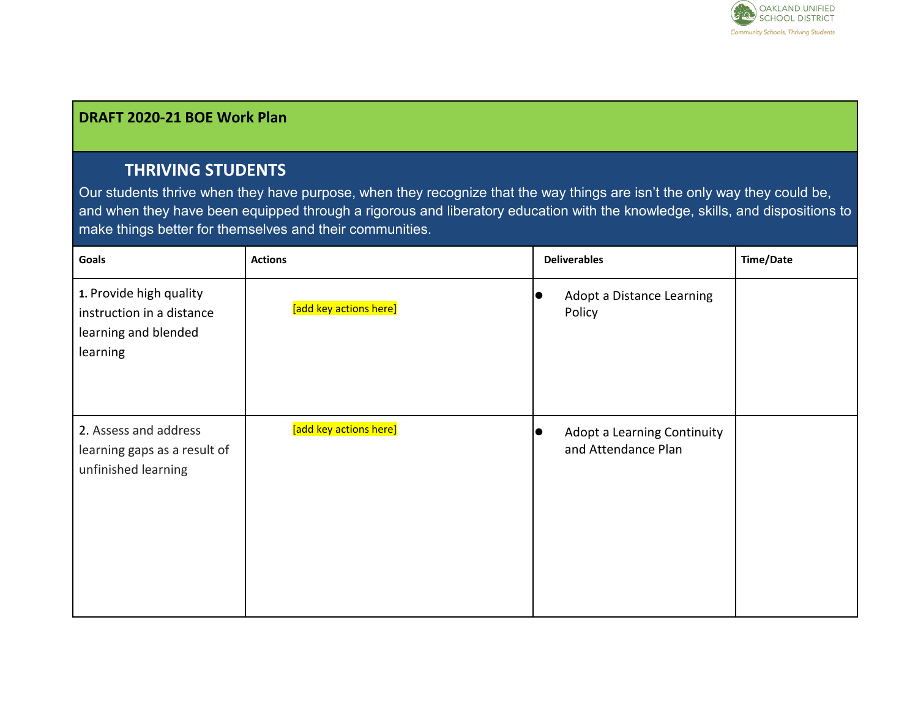

## **DRAFT 2020-21 BOE Work Plan**

## **THRIVING STUDENTS**

Our students thrive when they have purpose, when they recognize that the way things are isn't the only way they could be, and when they have been equipped through a rigorous and liberatory education with the knowledge, skills, and dispositions to make things better for themselves and their communities.

| Goals                                                                                    | <b>Actions</b>         |            | <b>Deliverables</b>                                | <b>Time/Date</b> |
|------------------------------------------------------------------------------------------|------------------------|------------|----------------------------------------------------|------------------|
| 1. Provide high quality<br>instruction in a distance<br>learning and blended<br>learning | [add key actions here] |            | Adopt a Distance Learning<br>Policy                |                  |
| 2. Assess and address<br>learning gaps as a result of<br>unfinished learning             | [add key actions here] | $\epsilon$ | Adopt a Learning Continuity<br>and Attendance Plan |                  |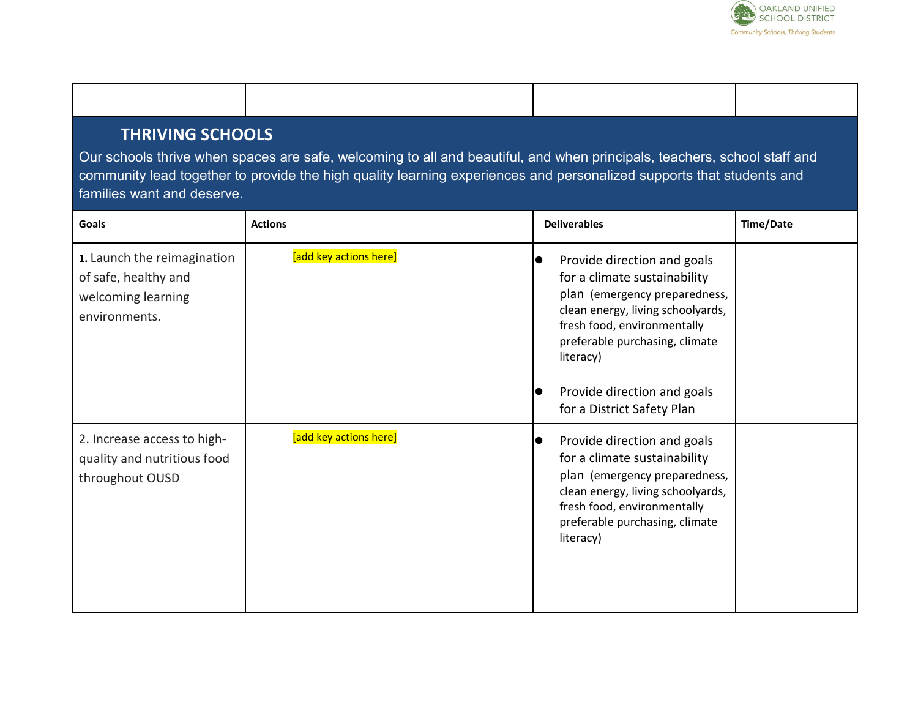

| <b>THRIVING SCHOOLS</b> |  |
|-------------------------|--|
|                         |  |

Our schools thrive when spaces are safe, welcoming to all and beautiful, and when principals, teachers, school staff and community lead together to provide the high quality learning experiences and personalized supports that students and families want and deserve.

| Goals                                                                                      | <b>Actions</b>         | <b>Deliverables</b>                                                                                                                                                                                                          | <b>Time/Date</b> |
|--------------------------------------------------------------------------------------------|------------------------|------------------------------------------------------------------------------------------------------------------------------------------------------------------------------------------------------------------------------|------------------|
| 1. Launch the reimagination<br>of safe, healthy and<br>welcoming learning<br>environments. | [add key actions here] | Provide direction and goals<br>$\bullet$<br>for a climate sustainability<br>plan (emergency preparedness,<br>clean energy, living schoolyards,<br>fresh food, environmentally<br>preferable purchasing, climate<br>literacy) |                  |
|                                                                                            |                        | Provide direction and goals<br>$\bullet$<br>for a District Safety Plan                                                                                                                                                       |                  |
| 2. Increase access to high-<br>quality and nutritious food<br>throughout OUSD              | [add key actions here] | Provide direction and goals<br>$\bullet$<br>for a climate sustainability<br>plan (emergency preparedness,<br>clean energy, living schoolyards,<br>fresh food, environmentally<br>preferable purchasing, climate<br>literacy) |                  |